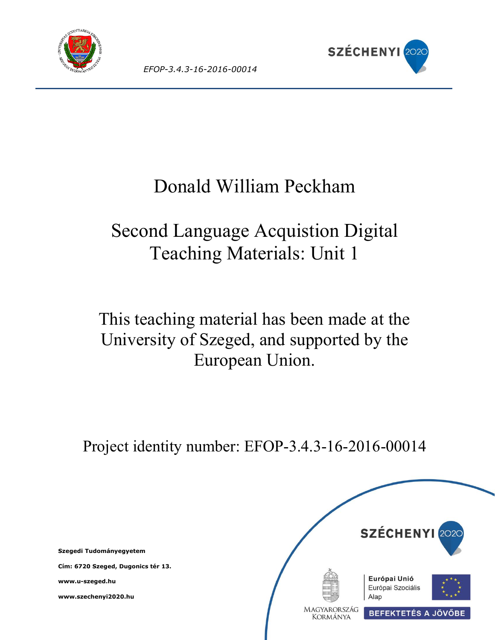

*EFOP-3.4.3-16-2016-00014*



# Donald William Peckham

# Second Language Acquistion Digital Teaching Materials: Unit 1

# This teaching material has been made at the University of Szeged, and supported by the European Union.

Project identity number: EFOP-3.4.3-16-2016-00014

**Szegedi Tudományegyetem Cím: 6720 Szeged, Dugonics tér 13. www.u-szeged.hu www.szechenyi2020.hu**

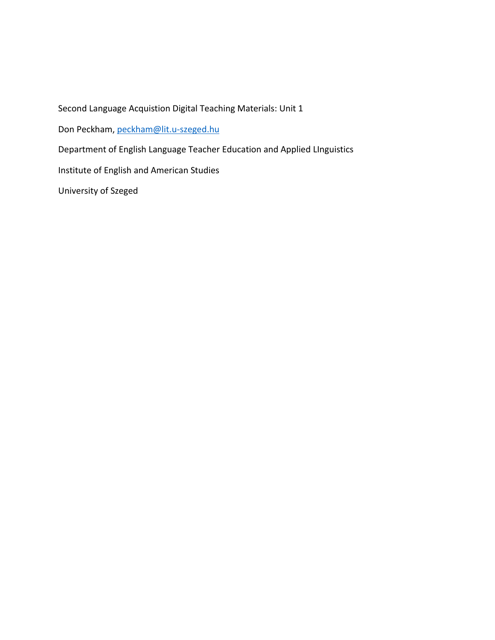Second Language Acquistion Digital Teaching Materials: Unit 1

Don Peckham, [peckham@lit.u-szeged.hu](mailto:peckham@lit.u-szeged.hu)

Department of English Language Teacher Education and Applied LInguistics

Institute of English and American Studies

University of Szeged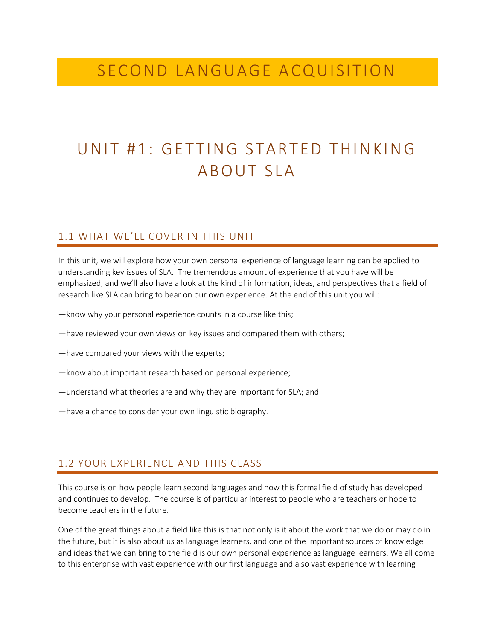# SECOND LANGUAGE ACQUISITION

# UNIT #1: GETTING STARTED THINKING A BOUT SLA

## 1.1 WHAT WE'LL COVER IN THIS UNIT

In this unit, we will explore how your own personal experience of language learning can be applied to understanding key issues of SLA. The tremendous amount of experience that you have will be emphasized, and we'll also have a look at the kind of information, ideas, and perspectives that a field of research like SLA can bring to bear on our own experience. At the end of this unit you will:

- —know why your personal experience counts in a course like this;
- —have reviewed your own views on key issues and compared them with others;
- —have compared your views with the experts;
- —know about important research based on personal experience;
- —understand what theories are and why they are important for SLA; and
- —have a chance to consider your own linguistic biography.

## 1.2 YOUR EXPERIENCE AND THIS CLASS

This course is on how people learn second languages and how this formal field of study has developed and continues to develop. The course is of particular interest to people who are teachers or hope to become teachers in the future.

One of the great things about a field like this is that not only is it about the work that we do or may do in the future, but it is also about us as language learners, and one of the important sources of knowledge and ideas that we can bring to the field is our own personal experience as language learners. We all come to this enterprise with vast experience with our first language and also vast experience with learning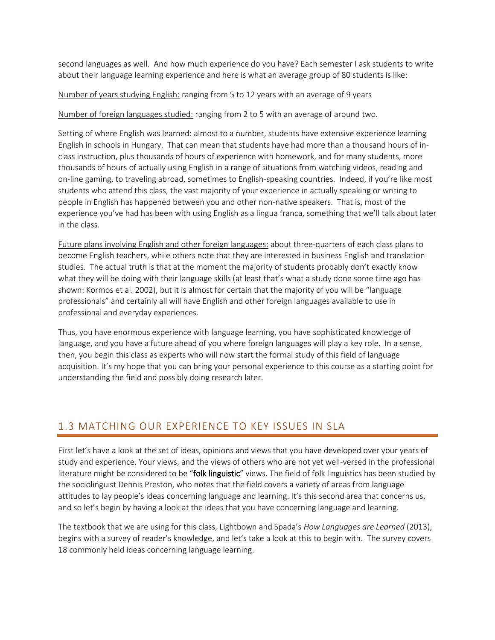second languages as well. And how much experience do you have? Each semester I ask students to write about their language learning experience and here is what an average group of 80 students is like:

Number of years studying English: ranging from 5 to 12 years with an average of 9 years

Number of foreign languages studied: ranging from 2 to 5 with an average of around two.

Setting of where English was learned: almost to a number, students have extensive experience learning English in schools in Hungary. That can mean that students have had more than a thousand hours of inclass instruction, plus thousands of hours of experience with homework, and for many students, more thousands of hours of actually using English in a range of situations from watching videos, reading and on-line gaming, to traveling abroad, sometimes to English-speaking countries. Indeed, if you're like most students who attend this class, the vast majority of your experience in actually speaking or writing to people in English has happened between you and other non-native speakers. That is, most of the experience you've had has been with using English as a lingua franca, something that we'll talk about later in the class.

Future plans involving English and other foreign languages: about three-quarters of each class plans to become English teachers, while others note that they are interested in business English and translation studies. The actual truth is that at the moment the majority of students probably don't exactly know what they will be doing with their language skills (at least that's what a study done some time ago has shown: Kormos et al. 2002), but it is almost for certain that the majority of you will be "language professionals" and certainly all will have English and other foreign languages available to use in professional and everyday experiences.

Thus, you have enormous experience with language learning, you have sophisticated knowledge of language, and you have a future ahead of you where foreign languages will play a key role. In a sense, then, you begin this class as experts who will now start the formal study of this field of language acquisition. It's my hope that you can bring your personal experience to this course as a starting point for understanding the field and possibly doing research later.

## 1.3 MATCHING OUR EXPERIENCE TO KEY ISSUES IN SLA

First let's have a look at the set of ideas, opinions and views that you have developed over your years of study and experience. Your views, and the views of others who are not yet well-versed in the professional literature might be considered to be "folk linguistic" views. The field of folk linguistics has been studied by the sociolinguist Dennis Preston, who notes that the field covers a variety of areas from language attitudes to lay people's ideas concerning language and learning. It's this second area that concerns us, and so let's begin by having a look at the ideas that you have concerning language and learning.

The textbook that we are using for this class, Lightbown and Spada's *How Languages are Learned* (2013), begins with a survey of reader's knowledge, and let's take a look at this to begin with. The survey covers 18 commonly held ideas concerning language learning.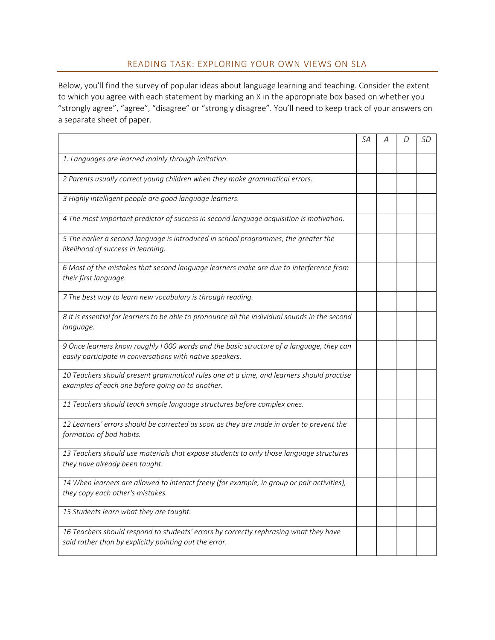### READING TASK: EXPLORING YOUR OWN VIEWS ON SLA

Below, you'll find the survey of popular ideas about language learning and teaching. Consider the extent to which you agree with each statement by marking an X in the appropriate box based on whether you "strongly agree", "agree", "disagree" or "strongly disagree". You'll need to keep track of your answers on a separate sheet of paper.

|                                                                                                                                                       | .SA | А | D | SD |
|-------------------------------------------------------------------------------------------------------------------------------------------------------|-----|---|---|----|
| 1. Languages are learned mainly through imitation.                                                                                                    |     |   |   |    |
| 2 Parents usually correct young children when they make grammatical errors.                                                                           |     |   |   |    |
| 3 Highly intelligent people are good language learners.                                                                                               |     |   |   |    |
| 4 The most important predictor of success in second language acquisition is motivation.                                                               |     |   |   |    |
| 5 The earlier a second language is introduced in school programmes, the greater the<br>likelihood of success in learning.                             |     |   |   |    |
| 6 Most of the mistakes that second language learners make are due to interference from<br>their first language.                                       |     |   |   |    |
| 7 The best way to learn new vocabulary is through reading.                                                                                            |     |   |   |    |
| 8 It is essential for learners to be able to pronounce all the individual sounds in the second<br>language.                                           |     |   |   |    |
| 9 Once learners know roughly I 000 words and the basic structure of a language, they can<br>easily participate in conversations with native speakers. |     |   |   |    |
| 10 Teachers should present grammatical rules one at a time, and learners should practise<br>examples of each one before going on to another.          |     |   |   |    |
| 11 Teachers should teach simple language structures before complex ones.                                                                              |     |   |   |    |
| 12 Learners' errors should be corrected as soon as they are made in order to prevent the<br>formation of bad habits.                                  |     |   |   |    |
| 13 Teachers should use materials that expose students to only those language structures<br>they have already been taught.                             |     |   |   |    |
| 14 When learners are allowed to interact freely (for example, in group or pair activities),<br>they copy each other's mistakes.                       |     |   |   |    |
| 15 Students learn what they are taught.                                                                                                               |     |   |   |    |
| 16 Teachers should respond to students' errors by correctly rephrasing what they have<br>said rather than by explicitly pointing out the error.       |     |   |   |    |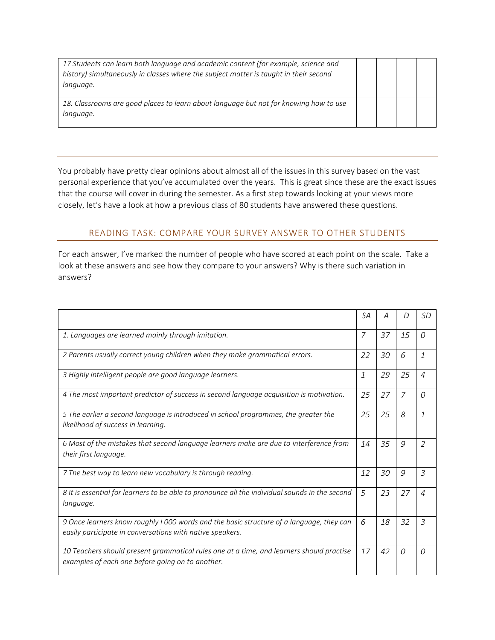| 17 Students can learn both language and academic content (for example, science and<br>history) simultaneously in classes where the subject matter is taught in their second<br>language. |  |  |
|------------------------------------------------------------------------------------------------------------------------------------------------------------------------------------------|--|--|
| 18. Classrooms are good places to learn about language but not for knowing how to use<br>language.                                                                                       |  |  |

You probably have pretty clear opinions about almost all of the issues in this survey based on the vast personal experience that you've accumulated over the years. This is great since these are the exact issues that the course will cover in during the semester. As a first step towards looking at your views more closely, let's have a look at how a previous class of 80 students have answered these questions.

### READING TASK: COMPARE YOUR SURVEY ANSWER TO OTHER STUDENTS

For each answer, I've marked the number of people who have scored at each point on the scale. Take a look at these answers and see how they compare to your answers? Why is there such variation in answers?

|                                                                                                                                                       | .SA            | Α  | D              | .SD            |
|-------------------------------------------------------------------------------------------------------------------------------------------------------|----------------|----|----------------|----------------|
| 1. Languages are learned mainly through imitation.                                                                                                    | $\overline{7}$ | 37 | 15             | 0              |
| 2 Parents usually correct young children when they make grammatical errors.                                                                           | 22             | 30 | 6              | 1              |
| 3 Highly intelligent people are good language learners.                                                                                               | 1              | 29 | 25             | $\overline{4}$ |
| 4 The most important predictor of success in second language acquisition is motivation.                                                               | 25             | 27 | $\overline{7}$ | $\Omega$       |
| 5 The earlier a second language is introduced in school programmes, the greater the<br>likelihood of success in learning.                             | 25             | 25 | 8              | $\mathcal{I}$  |
| 6 Most of the mistakes that second language learners make are due to interference from<br>their first language.                                       | 14             | 35 | 9              | $\overline{2}$ |
| 7 The best way to learn new vocabulary is through reading.                                                                                            | 12             | 30 | 9              | 3              |
| 8 It is essential for learners to be able to pronounce all the individual sounds in the second<br>language.                                           | .5             | 23 | 27             | $\overline{4}$ |
| 9 Once learners know roughly I 000 words and the basic structure of a language, they can<br>easily participate in conversations with native speakers. | 6              | 18 | 32             | $\overline{3}$ |
| 10 Teachers should present grammatical rules one at a time, and learners should practise<br>examples of each one before going on to another.          | 17             | 42 | 0              | $\Omega$       |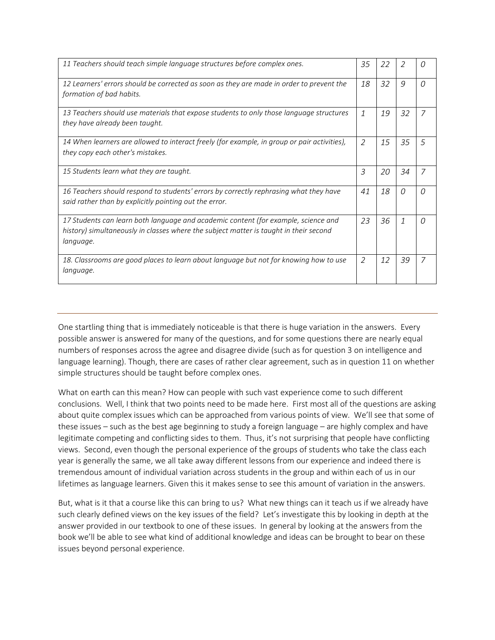| 11 Teachers should teach simple language structures before complex ones.                                                                                                                 | 35             | 22 | $\overline{2}$ | $\Omega$       |
|------------------------------------------------------------------------------------------------------------------------------------------------------------------------------------------|----------------|----|----------------|----------------|
| 12 Learners' errors should be corrected as soon as they are made in order to prevent the<br>formation of bad habits.                                                                     | 18             | 32 | 9              | $\Omega$       |
| 13 Teachers should use materials that expose students to only those language structures<br>they have already been taught.                                                                | $\mathbf{1}$   | 19 | 32             | 7              |
| 14 When learners are allowed to interact freely (for example, in group or pair activities),<br>they copy each other's mistakes.                                                          | $\overline{2}$ | 15 | 35             | 5              |
| 15 Students learn what they are taught.                                                                                                                                                  | 3              | 20 | 34             | $\overline{7}$ |
| 16 Teachers should respond to students' errors by correctly rephrasing what they have<br>said rather than by explicitly pointing out the error.                                          | 41             | 18 | $\Omega$       | $\Omega$       |
| 17 Students can learn both language and academic content (for example, science and<br>history) simultaneously in classes where the subject matter is taught in their second<br>language. | 23             | 36 | 1              | $\Omega$       |
| 18. Classrooms are good places to learn about language but not for knowing how to use<br>language.                                                                                       | $\overline{2}$ | 12 | 39             | 7              |

One startling thing that is immediately noticeable is that there is huge variation in the answers. Every possible answer is answered for many of the questions, and for some questions there are nearly equal numbers of responses across the agree and disagree divide (such as for question 3 on intelligence and language learning). Though, there are cases of rather clear agreement, such as in question 11 on whether simple structures should be taught before complex ones.

What on earth can this mean? How can people with such vast experience come to such different conclusions. Well, I think that two points need to be made here. First most all of the questions are asking about quite complex issues which can be approached from various points of view. We'll see that some of these issues – such as the best age beginning to study a foreign language – are highly complex and have legitimate competing and conflicting sides to them. Thus, it's not surprising that people have conflicting views. Second, even though the personal experience of the groups of students who take the class each year is generally the same, we all take away different lessons from our experience and indeed there is tremendous amount of individual variation across students in the group and within each of us in our lifetimes as language learners. Given this it makes sense to see this amount of variation in the answers.

But, what is it that a course like this can bring to us? What new things can it teach us if we already have such clearly defined views on the key issues of the field? Let's investigate this by looking in depth at the answer provided in our textbook to one of these issues. In general by looking at the answers from the book we'll be able to see what kind of additional knowledge and ideas can be brought to bear on these issues beyond personal experience.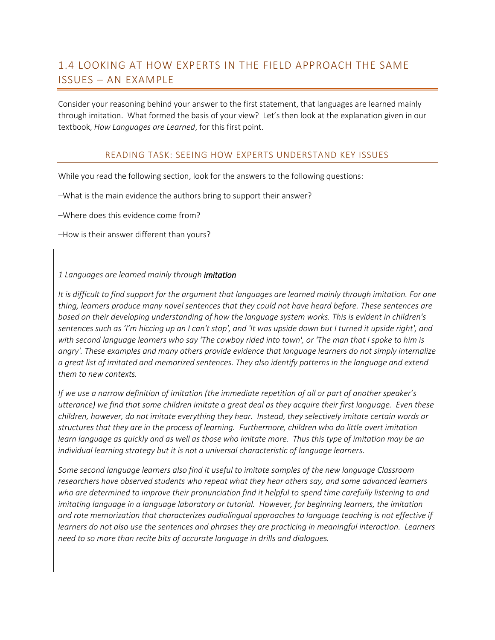# 1.4 LOOKING AT HOW EXPERTS IN THE FIELD APPROACH THE SAME ISSUES – AN EXAMPLE

Consider your reasoning behind your answer to the first statement, that languages are learned mainly through imitation. What formed the basis of your view? Let's then look at the explanation given in our textbook, *How Languages are Learned*, for this first point.

#### READING TASK: SEEING HOW EXPERTS UNDERSTAND KEY ISSUES

While you read the following section, look for the answers to the following questions:

–What is the main evidence the authors bring to support their answer?

–Where does this evidence come from?

–How is their answer different than yours?

#### *1 Languages are learned mainly through imitation*

*It is difficult to find support for the argument that languages are learned mainly through imitation. For one thing, learners produce many novel sentences that they could not have heard before. These sentences are based on their developing understanding of how the language system works. This is evident in children's sentences such as 'I'm hiccing up an I can't stop', and 'It was upside down but I turned it upside right', and with second language learners who say 'The cowboy rided into town', or 'The man that I spoke to him is angry'. These examples and many others provide evidence that language learners do not simply internalize a great list of imitated and memorized sentences. They also identify patterns in the language and extend them to new contexts.*

*If we use a narrow definition of imitation (the immediate repetition of all or part of another speaker's utterance) we find that some children imitate a great deal as they acquire their first language. Even these children, however, do not imitate everything they hear. Instead, they selectively imitate certain words or structures that they are in the process of learning. Furthermore, children who do little overt imitation learn language as quickly and as well as those who imitate more. Thus this type of imitation may be an individual learning strategy but it is not a universal characteristic of language learners.*

*Some second language learners also find it useful to imitate samples of the new language Classroom researchers have observed students who repeat what they hear others say, and some advanced learners who are determined to improve their pronunciation find it helpful to spend time carefully listening to and imitating language in a language laboratory or tutorial. However, for beginning learners, the imitation and rote memorization that characterizes audiolingual approaches to language teaching is not effective if learners do not also use the sentences and phrases they are practicing in meaningful interaction. Learners need to so more than recite bits of accurate language in drills and dialogues.*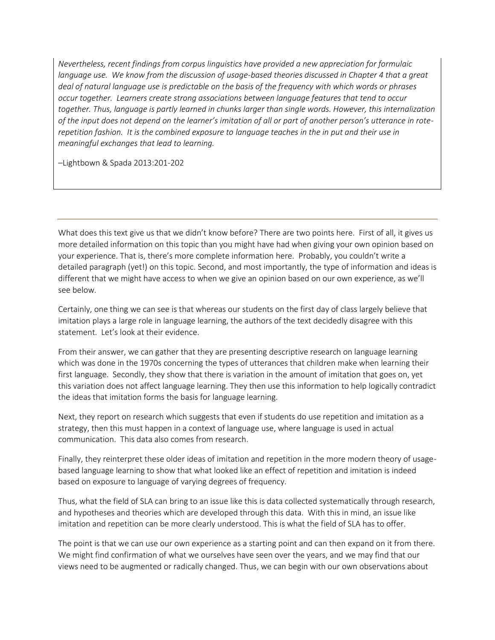*Nevertheless, recent findings from corpus linguistics have provided a new appreciation for formulaic*  language use. We know from the discussion of usage-based theories discussed in Chapter 4 that a great *deal of natural language use is predictable on the basis of the frequency with which words or phrases occur together. Learners create strong associations between language features that tend to occur together. Thus, language is partly learned in chunks larger than single words. However, this internalization of the input does not depend on the learner's imitation of all or part of another person's utterance in roterepetition fashion. It is the combined exposure to language teaches in the in put and their use in meaningful exchanges that lead to learning.* 

–Lightbown & Spada 2013:201-202

What does this text give us that we didn't know before? There are two points here. First of all, it gives us more detailed information on this topic than you might have had when giving your own opinion based on your experience. That is, there's more complete information here. Probably, you couldn't write a detailed paragraph (yet!) on this topic. Second, and most importantly, the type of information and ideas is different that we might have access to when we give an opinion based on our own experience, as we'll see below.

Certainly, one thing we can see is that whereas our students on the first day of class largely believe that imitation plays a large role in language learning, the authors of the text decidedly disagree with this statement. Let's look at their evidence.

From their answer, we can gather that they are presenting descriptive research on language learning which was done in the 1970s concerning the types of utterances that children make when learning their first language. Secondly, they show that there is variation in the amount of imitation that goes on, yet this variation does not affect language learning. They then use this information to help logically contradict the ideas that imitation forms the basis for language learning.

Next, they report on research which suggests that even if students do use repetition and imitation as a strategy, then this must happen in a context of language use, where language is used in actual communication. This data also comes from research.

Finally, they reinterpret these older ideas of imitation and repetition in the more modern theory of usagebased language learning to show that what looked like an effect of repetition and imitation is indeed based on exposure to language of varying degrees of frequency.

Thus, what the field of SLA can bring to an issue like this is data collected systematically through research, and hypotheses and theories which are developed through this data. With this in mind, an issue like imitation and repetition can be more clearly understood. This is what the field of SLA has to offer.

The point is that we can use our own experience as a starting point and can then expand on it from there. We might find confirmation of what we ourselves have seen over the years, and we may find that our views need to be augmented or radically changed. Thus, we can begin with our own observations about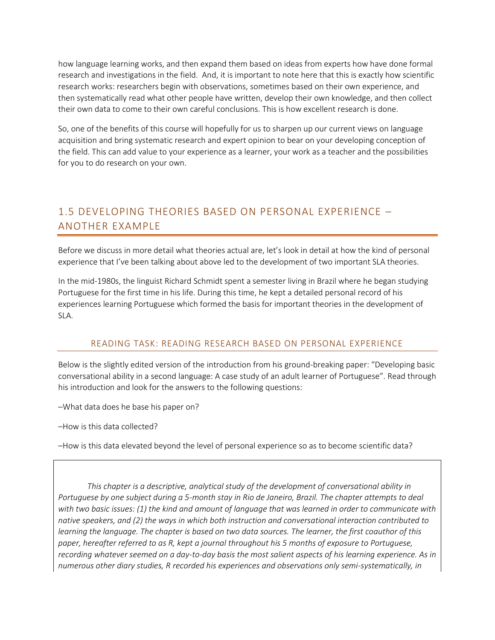how language learning works, and then expand them based on ideas from experts how have done formal research and investigations in the field. And, it is important to note here that this is exactly how scientific research works: researchers begin with observations, sometimes based on their own experience, and then systematically read what other people have written, develop their own knowledge, and then collect their own data to come to their own careful conclusions. This is how excellent research is done.

So, one of the benefits of this course will hopefully for us to sharpen up our current views on language acquisition and bring systematic research and expert opinion to bear on your developing conception of the field. This can add value to your experience as a learner, your work as a teacher and the possibilities for you to do research on your own.

# 1.5 DEVELOPING THEORIES BASED ON PERSONAL EXPERIENCE – ANOTHER EXAMPLE

Before we discuss in more detail what theories actual are, let's look in detail at how the kind of personal experience that I've been talking about above led to the development of two important SLA theories.

In the mid-1980s, the linguist Richard Schmidt spent a semester living in Brazil where he began studying Portuguese for the first time in his life. During this time, he kept a detailed personal record of his experiences learning Portuguese which formed the basis for important theories in the development of SLA.

### READING TASK: READING RESEARCH BASED ON PERSONAL EXPERIENCE

Below is the slightly edited version of the introduction from his ground-breaking paper: "Developing basic conversational ability in a second language: A case study of an adult learner of Portuguese". Read through his introduction and look for the answers to the following questions:

–What data does he base his paper on?

–How is this data collected?

–How is this data elevated beyond the level of personal experience so as to become scientific data?

*This chapter is a descriptive, analytical study of the development of conversational ability in Portuguese by one subject during a 5-month stay in Rio de Janeiro, Brazil. The chapter attempts to deal with two basic issues: (1) the kind and amount of language that was learned in order to communicate with native speakers, and (2) the ways in which both instruction and conversational interaction contributed to learning the language. The chapter is based on two data sources. The learner, the first coauthor of this paper, hereafter referred to as R, kept a journal throughout his 5 months of exposure to Portuguese, recording whatever seemed on a day-to-day basis the most salient aspects of his learning experience. As in numerous other diary studies, R recorded his experiences and observations only semi-systematically, in*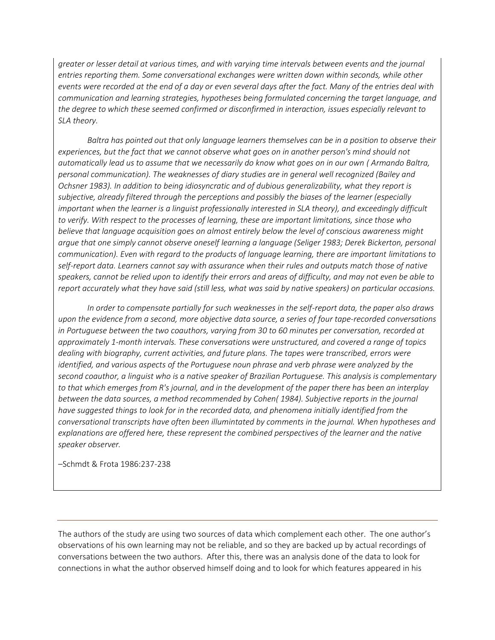*greater or lesser detail at various times, and with varying time intervals between events and the journal entries reporting them. Some conversational exchanges were written down within seconds, while other events were recorded at the end of a day or even several days after the fact. Many of the entries deal with communication and learning strategies, hypotheses being formulated concerning the target language, and the degree to which these seemed confirmed or disconfirmed in interaction, issues especially relevant to SLA theory.* 

*Baltra has pointed out that only language learners themselves can be in a position to observe their experiences, but the fact that we cannot observe what goes on in another person's mind should not automatically lead us to assume that we necessarily do know what goes on in our own ( Armando Baltra, personal communication). The weaknesses of diary studies are in general well recognized (Bailey and Ochsner 1983). In addition to being idiosyncratic and of dubious generalizability, what they report is subjective, already filtered through the perceptions and possibly the biases of the learner (especially important when the learner is a linguist professionally interested in SLA theory), and exceedingly difficult to verify. With respect to the processes of learning, these are important limitations, since those who believe that language acquisition goes on almost entirely below the level of conscious awareness might argue that one simply cannot observe oneself learning a language (Seliger 1983; Derek Bickerton, personal communication). Even with regard to the products of language learning, there are important limitations to self-report data. Learners cannot say with assurance when their rules and outputs match those of native speakers, cannot be relied upon to identify their errors and areas of difficulty, and may not even be able to report accurately what they have said (still less, what was said by native speakers) on particular occasions.* 

*In order to compensate partially for such weaknesses in the self-report data, the paper also draws upon the evidence from a second, more objective data source, a series of four tape-recorded conversations in Portuguese between the two coauthors, varying from 30 to 60 minutes per conversation, recorded at approximately 1-month intervals. These conversations were unstructured, and covered a range of topics dealing with biography, current activities, and future plans. The tapes were transcribed, errors were identified, and various aspects of the Portuguese noun phrase and verb phrase were analyzed by the second coauthor, a linguist who is a native speaker of Brazilian Portuguese. This analysis is complementary to that which emerges from R's journal, and in the development of the paper there has been an interplay between the data sources, a method recommended by Cohen( 1984). Subjective reports in the journal have suggested things to look for in the recorded data, and phenomena initially identified from the conversational transcripts have often been illumintated by comments in the journal. When hypotheses and explanations are offered here, these represent the combined perspectives of the learner and the native speaker observer.*

–Schmdt & Frota 1986:237-238

The authors of the study are using two sources of data which complement each other. The one author's observations of his own learning may not be reliable, and so they are backed up by actual recordings of conversations between the two authors. After this, there was an analysis done of the data to look for connections in what the author observed himself doing and to look for which features appeared in his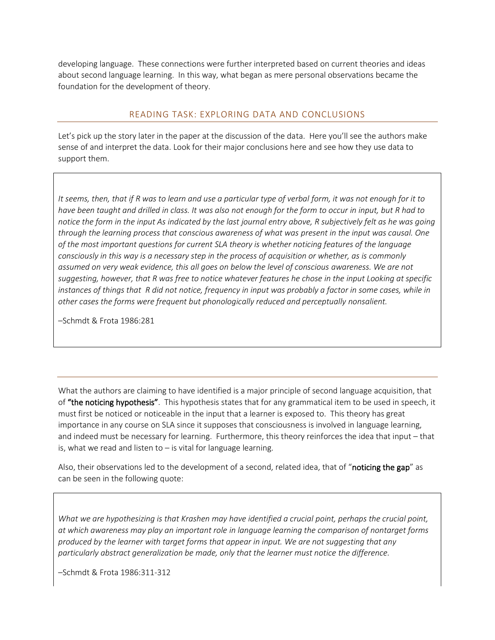developing language. These connections were further interpreted based on current theories and ideas about second language learning. In this way, what began as mere personal observations became the foundation for the development of theory.

#### READING TASK: EXPLORING DATA AND CONCLUSIONS

Let's pick up the story later in the paper at the discussion of the data. Here you'll see the authors make sense of and interpret the data. Look for their major conclusions here and see how they use data to support them.

*It seems, then, that if R was to learn and use a particular type of verbal form, it was not enough for it to have been taught and drilled in class. It was also not enough for the form to occur in input, but R had to notice the form in the input As indicated by the last journal entry above, R subjectively felt as he was going through the learning process that conscious awareness of what was present in the input was causal. One of the most important questions for current SLA theory is whether noticing features of the language consciously in this way is a necessary step in the process of acquisition or whether, as is commonly assumed on very weak evidence, this all goes on below the level of conscious awareness. We are not suggesting, however, that R was free to notice whatever features he chose in the input Looking at specific instances of things that R did not notice, frequency in input was probably a factor in some cases, while in other cases the forms were frequent but phonologically reduced and perceptually nonsalient.*

–Schmdt & Frota 1986:281

What the authors are claiming to have identified is a major principle of second language acquisition, that of "the noticing hypothesis". This hypothesis states that for any grammatical item to be used in speech, it must first be noticed or noticeable in the input that a learner is exposed to. This theory has great importance in any course on SLA since it supposes that consciousness is involved in language learning, and indeed must be necessary for learning. Furthermore, this theory reinforces the idea that input – that is, what we read and listen to  $-$  is vital for language learning.

Also, their observations led to the development of a second, related idea, that of "noticing the gap" as can be seen in the following quote:

*What we are hypothesizing is that Krashen may have identified a crucial point, perhaps the crucial point, at which awareness may play an important role in language learning the comparison of nontarget forms produced by the learner with target forms that appear in input. We are not suggesting that any particularly abstract generalization be made, only that the learner must notice the difference.*

–Schmdt & Frota 1986:311-312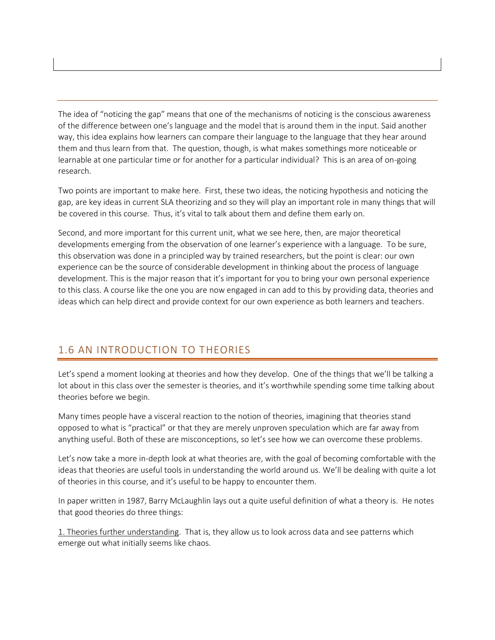The idea of "noticing the gap" means that one of the mechanisms of noticing is the conscious awareness of the difference between one's language and the model that is around them in the input. Said another way, this idea explains how learners can compare their language to the language that they hear around them and thus learn from that. The question, though, is what makes somethings more noticeable or learnable at one particular time or for another for a particular individual? This is an area of on-going research.

Two points are important to make here. First, these two ideas, the noticing hypothesis and noticing the gap, are key ideas in current SLA theorizing and so they will play an important role in many things that will be covered in this course. Thus, it's vital to talk about them and define them early on.

Second, and more important for this current unit, what we see here, then, are major theoretical developments emerging from the observation of one learner's experience with a language. To be sure, this observation was done in a principled way by trained researchers, but the point is clear: our own experience can be the source of considerable development in thinking about the process of language development. This is the major reason that it's important for you to bring your own personal experience to this class. A course like the one you are now engaged in can add to this by providing data, theories and ideas which can help direct and provide context for our own experience as both learners and teachers.

## 1.6 AN INTRODUCTION TO THEORIES

Let's spend a moment looking at theories and how they develop. One of the things that we'll be talking a lot about in this class over the semester is theories, and it's worthwhile spending some time talking about theories before we begin.

Many times people have a visceral reaction to the notion of theories, imagining that theories stand opposed to what is "practical" or that they are merely unproven speculation which are far away from anything useful. Both of these are misconceptions, so let's see how we can overcome these problems.

Let's now take a more in-depth look at what theories are, with the goal of becoming comfortable with the ideas that theories are useful tools in understanding the world around us. We'll be dealing with quite a lot of theories in this course, and it's useful to be happy to encounter them.

In paper written in 1987, Barry McLaughlin lays out a quite useful definition of what a theory is. He notes that good theories do three things:

1. Theories further understanding. That is, they allow us to look across data and see patterns which emerge out what initially seems like chaos.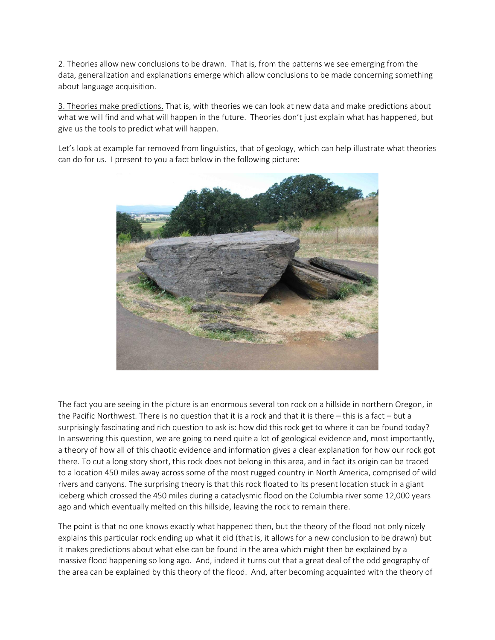2. Theories allow new conclusions to be drawn. That is, from the patterns we see emerging from the data, generalization and explanations emerge which allow conclusions to be made concerning something about language acquisition.

3. Theories make predictions. That is, with theories we can look at new data and make predictions about what we will find and what will happen in the future. Theories don't just explain what has happened, but give us the tools to predict what will happen.

Let's look at example far removed from linguistics, that of geology, which can help illustrate what theories can do for us. I present to you a fact below in the following picture:



The fact you are seeing in the picture is an enormous several ton rock on a hillside in northern Oregon, in the Pacific Northwest. There is no question that it is a rock and that it is there – this is a fact – but a surprisingly fascinating and rich question to ask is: how did this rock get to where it can be found today? In answering this question, we are going to need quite a lot of geological evidence and, most importantly, a theory of how all of this chaotic evidence and information gives a clear explanation for how our rock got there. To cut a long story short, this rock does not belong in this area, and in fact its origin can be traced to a location 450 miles away across some of the most rugged country in North America, comprised of wild rivers and canyons. The surprising theory is that this rock floated to its present location stuck in a giant iceberg which crossed the 450 miles during a cataclysmic flood on the Columbia river some 12,000 years ago and which eventually melted on this hillside, leaving the rock to remain there.

The point is that no one knows exactly what happened then, but the theory of the flood not only nicely explains this particular rock ending up what it did (that is, it allows for a new conclusion to be drawn) but it makes predictions about what else can be found in the area which might then be explained by a massive flood happening so long ago. And, indeed it turns out that a great deal of the odd geography of the area can be explained by this theory of the flood. And, after becoming acquainted with the theory of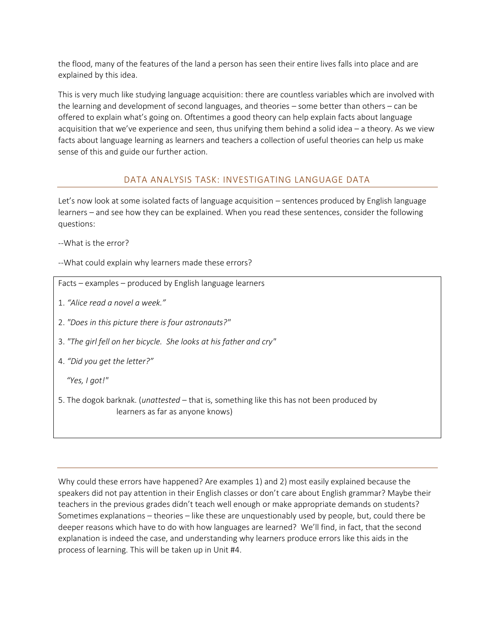the flood, many of the features of the land a person has seen their entire lives falls into place and are explained by this idea.

This is very much like studying language acquisition: there are countless variables which are involved with the learning and development of second languages, and theories – some better than others – can be offered to explain what's going on. Oftentimes a good theory can help explain facts about language acquisition that we've experience and seen, thus unifying them behind a solid idea – a theory. As we view facts about language learning as learners and teachers a collection of useful theories can help us make sense of this and guide our further action.

### DATA ANALYSIS TASK: INVESTIGATING LANGUAGE DATA

Let's now look at some isolated facts of language acquisition – sentences produced by English language learners – and see how they can be explained. When you read these sentences, consider the following questions:

--What is the error?

--What could explain why learners made these errors?

Facts – examples – produced by English language learners

- 1. *"Alice read a novel a week."*
- 2. *"Does in this picture there is four astronauts?"*
- 3. *"The girl fell on her bicycle. She looks at his father and cry"*
- 4. *"Did you get the letter?"*

 *"Yes, I got!"*

5. The dogok barknak. (*unattested* – that is, something like this has not been produced by learners as far as anyone knows)

Why could these errors have happened? Are examples 1) and 2) most easily explained because the speakers did not pay attention in their English classes or don't care about English grammar? Maybe their teachers in the previous grades didn't teach well enough or make appropriate demands on students? Sometimes explanations – theories – like these are unquestionably used by people, but, could there be deeper reasons which have to do with how languages are learned? We'll find, in fact, that the second explanation is indeed the case, and understanding why learners produce errors like this aids in the process of learning. This will be taken up in Unit #4.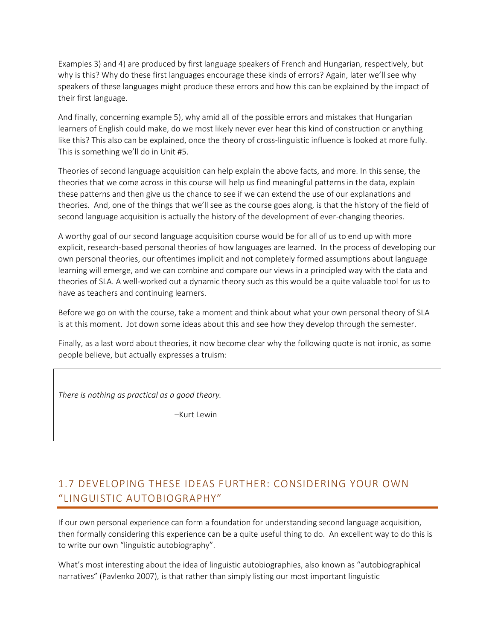Examples 3) and 4) are produced by first language speakers of French and Hungarian, respectively, but why is this? Why do these first languages encourage these kinds of errors? Again, later we'll see why speakers of these languages might produce these errors and how this can be explained by the impact of their first language.

And finally, concerning example 5), why amid all of the possible errors and mistakes that Hungarian learners of English could make, do we most likely never ever hear this kind of construction or anything like this? This also can be explained, once the theory of cross-linguistic influence is looked at more fully. This is something we'll do in Unit #5.

Theories of second language acquisition can help explain the above facts, and more. In this sense, the theories that we come across in this course will help us find meaningful patterns in the data, explain these patterns and then give us the chance to see if we can extend the use of our explanations and theories. And, one of the things that we'll see as the course goes along, is that the history of the field of second language acquisition is actually the history of the development of ever-changing theories.

A worthy goal of our second language acquisition course would be for all of us to end up with more explicit, research-based personal theories of how languages are learned. In the process of developing our own personal theories, our oftentimes implicit and not completely formed assumptions about language learning will emerge, and we can combine and compare our views in a principled way with the data and theories of SLA. A well-worked out a dynamic theory such as this would be a quite valuable tool for us to have as teachers and continuing learners.

Before we go on with the course, take a moment and think about what your own personal theory of SLA is at this moment. Jot down some ideas about this and see how they develop through the semester.

Finally, as a last word about theories, it now become clear why the following quote is not ironic, as some people believe, but actually expresses a truism:

*There is nothing as practical as a good theory.*

–Kurt Lewin

# 1.7 DEVELOPING THESE IDEAS FURTHER: CONSIDERING YOUR OWN "LINGUISTIC AUTOBIOGRAPHY"

If our own personal experience can form a foundation for understanding second language acquisition, then formally considering this experience can be a quite useful thing to do. An excellent way to do this is to write our own "linguistic autobiography".

What's most interesting about the idea of linguistic autobiographies, also known as "autobiographical narratives" (Pavlenko 2007), is that rather than simply listing our most important linguistic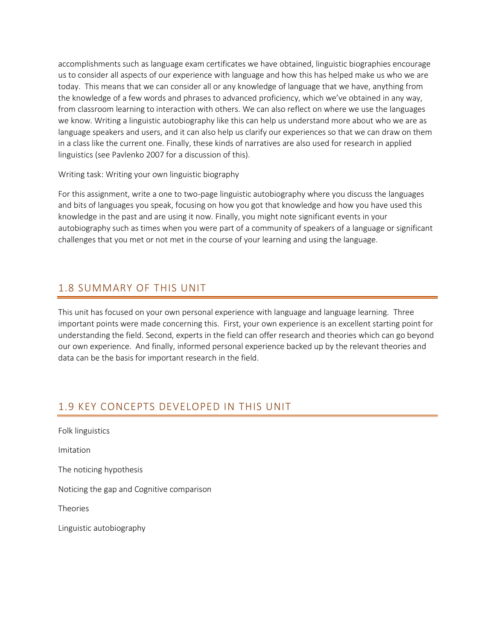accomplishments such as language exam certificates we have obtained, linguistic biographies encourage us to consider all aspects of our experience with language and how this has helped make us who we are today. This means that we can consider all or any knowledge of language that we have, anything from the knowledge of a few words and phrases to advanced proficiency, which we've obtained in any way, from classroom learning to interaction with others. We can also reflect on where we use the languages we know. Writing a linguistic autobiography like this can help us understand more about who we are as language speakers and users, and it can also help us clarify our experiences so that we can draw on them in a class like the current one. Finally, these kinds of narratives are also used for research in applied linguistics (see Pavlenko 2007 for a discussion of this).

Writing task: Writing your own linguistic biography

For this assignment, write a one to two-page linguistic autobiography where you discuss the languages and bits of languages you speak, focusing on how you got that knowledge and how you have used this knowledge in the past and are using it now. Finally, you might note significant events in your autobiography such as times when you were part of a community of speakers of a language or significant challenges that you met or not met in the course of your learning and using the language.

# 1.8 SUMMARY OF THIS UNIT

This unit has focused on your own personal experience with language and language learning. Three important points were made concerning this. First, your own experience is an excellent starting point for understanding the field. Second, experts in the field can offer research and theories which can go beyond our own experience. And finally, informed personal experience backed up by the relevant theories and data can be the basis for important research in the field.

# 1.9 KEY CONCEPTS DEVELOPED IN THIS UNIT

| Folk linguistics                          |
|-------------------------------------------|
| Imitation                                 |
| The noticing hypothesis                   |
| Noticing the gap and Cognitive comparison |
| Theories                                  |
| Linguistic autobiography                  |